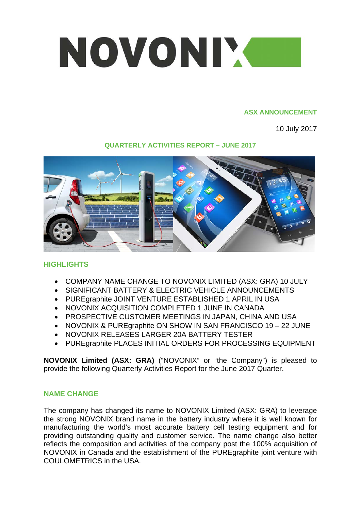

#### **ASX ANNOUNCEMENT**

10 July 2017

## **QUARTERLY ACTIVITIES REPORT – JUNE 2017**



# **HIGHLIGHTS**

- COMPANY NAME CHANGE TO NOVONIX LIMITED (ASX: GRA) 10 JULY
- SIGNIFICANT BATTERY & ELECTRIC VEHICLE ANNOUNCEMENTS
- PUREgraphite JOINT VENTURE ESTABLISHED 1 APRIL IN USA
- NOVONIX ACQUISITION COMPLETED 1 JUNE IN CANADA
- PROSPECTIVE CUSTOMER MEETINGS IN JAPAN, CHINA AND USA
- NOVONIX & PUREgraphite ON SHOW IN SAN FRANCISCO 19 22 JUNE
- NOVONIX RELEASES LARGER 20A BATTERY TESTER
- PUREgraphite PLACES INITIAL ORDERS FOR PROCESSING EQUIPMENT

**NOVONIX Limited (ASX: GRA)** ("NOVONIX" or "the Company") is pleased to provide the following Quarterly Activities Report for the June 2017 Quarter.

#### **NAME CHANGE**

The company has changed its name to NOVONIX Limited (ASX: GRA) to leverage the strong NOVONIX brand name in the battery industry where it is well known for manufacturing the world's most accurate battery cell testing equipment and for providing outstanding quality and customer service. The name change also better reflects the composition and activities of the company post the 100% acquisition of NOVONIX in Canada and the establishment of the PUREgraphite joint venture with COULOMETRICS in the USA.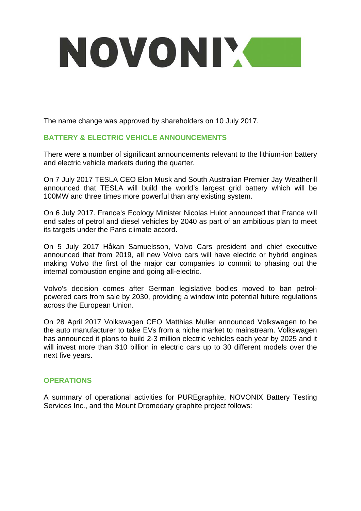# NOVONIM

The name change was approved by shareholders on 10 July 2017.

## **BATTERY & ELECTRIC VEHICLE ANNOUNCEMENTS**

There were a number of significant announcements relevant to the lithium-ion battery and electric vehicle markets during the quarter.

On 7 July 2017 TESLA CEO Elon Musk and South Australian Premier Jay Weatherill announced that TESLA will build the world's largest grid battery which will be 100MW and three times more powerful than any existing system.

On 6 July 2017. France's Ecology Minister Nicolas Hulot announced that France will end sales of petrol and diesel vehicles by 2040 as part of an ambitious plan to meet its targets under the Paris climate accord.

On 5 July 2017 Håkan Samuelsson, Volvo Cars president and chief executive announced that from 2019, all new Volvo cars will have electric or hybrid engines making Volvo the first of the major car companies to commit to phasing out the internal combustion engine and going all-electric.

Volvo's decision comes after German legislative bodies moved to ban petrolpowered cars from sale by 2030, providing a window into potential future regulations across the European Union.

On 28 April 2017 Volkswagen CEO Matthias Muller announced Volkswagen to be the auto manufacturer to take EVs from a niche market to mainstream. Volkswagen has announced it plans to build 2-3 million electric vehicles each year by 2025 and it will invest more than \$10 billion in electric cars up to 30 different models over the next five years.

#### **OPERATIONS**

A summary of operational activities for PUREgraphite, NOVONIX Battery Testing Services Inc., and the Mount Dromedary graphite project follows: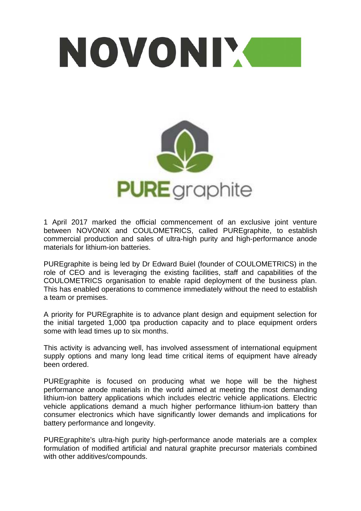

1 April 2017 marked the official commencement of an exclusive joint venture between NOVONIX and COULOMETRICS, called PUREgraphite, to establish commercial production and sales of ultra-high purity and high-performance anode materials for lithium-ion batteries.

PUREgraphite is being led by Dr Edward Buiel (founder of COULOMETRICS) in the role of CEO and is leveraging the existing facilities, staff and capabilities of the COULOMETRICS organisation to enable rapid deployment of the business plan. This has enabled operations to commence immediately without the need to establish a team or premises.

A priority for PUREgraphite is to advance plant design and equipment selection for the initial targeted 1,000 tpa production capacity and to place equipment orders some with lead times up to six months.

This activity is advancing well, has involved assessment of international equipment supply options and many long lead time critical items of equipment have already been ordered.

PUREgraphite is focused on producing what we hope will be the highest performance anode materials in the world aimed at meeting the most demanding lithium-ion battery applications which includes electric vehicle applications. Electric vehicle applications demand a much higher performance lithium-ion battery than consumer electronics which have significantly lower demands and implications for battery performance and longevity.

PUREgraphite's ultra-high purity high-performance anode materials are a complex formulation of modified artificial and natural graphite precursor materials combined with other additives/compounds.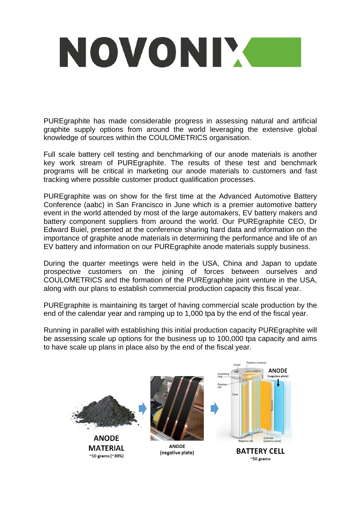# NOVONIX

PUREgraphite has made considerable progress in assessing natural and artificial graphite supply options from around the world leveraging the extensive global knowledge of sources within the COULOMETRICS organisation.

Full scale battery cell testing and benchmarking of our anode materials is another key work stream of PUREgraphite. The results of these test and benchmark programs will be critical in marketing our anode materials to customers and fast tracking where possible customer product qualification processes.

PUREgraphite was on show for the first time at the Advanced Automotive Battery Conference (aabc) in San Francisco in June which is a premier automotive battery event in the world attended by most of the large automakers, EV battery makers and battery component suppliers from around the world. Our PUREgraphite CEO, Dr Edward Buiel, presented at the conference sharing hard data and information on the importance of graphite anode materials in determining the performance and life of an EV battery and information on our PUREgraphite anode materials supply business.

During the quarter meetings were held in the USA, China and Japan to update prospective customers on the joining of forces between ourselves and COULOMETRICS and the formation of the PUREgraphite joint venture in the USA, along with our plans to establish commercial production capacity this fiscal year.

PUREgraphite is maintaining its target of having commercial scale production by the end of the calendar year and ramping up to 1,000 tpa by the end of the fiscal year.

Running in parallel with establishing this initial production capacity PUREgraphite will be assessing scale up options for the business up to 100,000 tpa capacity and aims to have scale up plans in place also by the end of the fiscal year.

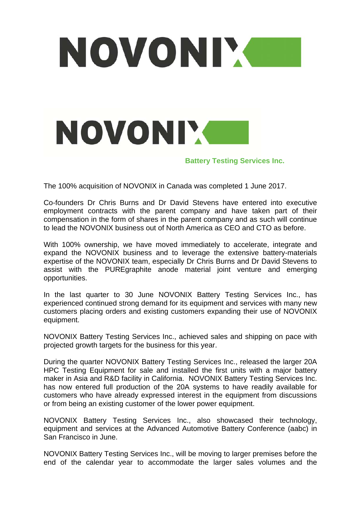

The 100% acquisition of NOVONIX in Canada was completed 1 June 2017.

Co-founders Dr Chris Burns and Dr David Stevens have entered into executive employment contracts with the parent company and have taken part of their compensation in the form of shares in the parent company and as such will continue to lead the NOVONIX business out of North America as CEO and CTO as before.

With 100% ownership, we have moved immediately to accelerate, integrate and expand the NOVONIX business and to leverage the extensive battery-materials expertise of the NOVONIX team, especially Dr Chris Burns and Dr David Stevens to assist with the PUREgraphite anode material joint venture and emerging opportunities.

In the last quarter to 30 June NOVONIX Battery Testing Services Inc., has experienced continued strong demand for its equipment and services with many new customers placing orders and existing customers expanding their use of NOVONIX equipment.

NOVONIX Battery Testing Services Inc., achieved sales and shipping on pace with projected growth targets for the business for this year.

During the quarter NOVONIX Battery Testing Services Inc., released the larger 20A HPC Testing Equipment for sale and installed the first units with a major battery maker in Asia and R&D facility in California. NOVONIX Battery Testing Services Inc. has now entered full production of the 20A systems to have readily available for customers who have already expressed interest in the equipment from discussions or from being an existing customer of the lower power equipment.

NOVONIX Battery Testing Services Inc., also showcased their technology, equipment and services at the Advanced Automotive Battery Conference (aabc) in San Francisco in June.

NOVONIX Battery Testing Services Inc., will be moving to larger premises before the end of the calendar year to accommodate the larger sales volumes and the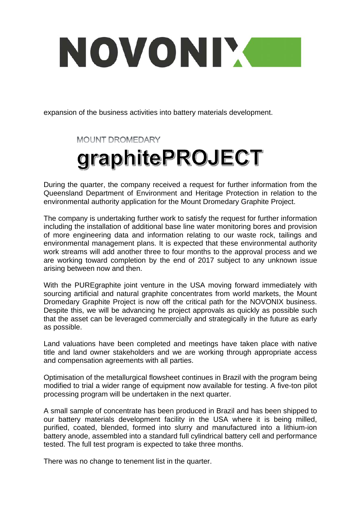# NOVONIX

expansion of the business activities into battery materials development.

**MOUNT DROMEDARY** 

# graphitePROJECT

During the quarter, the company received a request for further information from the Queensland Department of Environment and Heritage Protection in relation to the environmental authority application for the Mount Dromedary Graphite Project.

The company is undertaking further work to satisfy the request for further information including the installation of additional base line water monitoring bores and provision of more engineering data and information relating to our waste rock, tailings and environmental management plans. It is expected that these environmental authority work streams will add another three to four months to the approval process and we are working toward completion by the end of 2017 subject to any unknown issue arising between now and then.

With the PUREgraphite joint venture in the USA moving forward immediately with sourcing artificial and natural graphite concentrates from world markets, the Mount Dromedary Graphite Project is now off the critical path for the NOVONIX business. Despite this, we will be advancing he project approvals as quickly as possible such that the asset can be leveraged commercially and strategically in the future as early as possible.

Land valuations have been completed and meetings have taken place with native title and land owner stakeholders and we are working through appropriate access and compensation agreements with all parties.

Optimisation of the metallurgical flowsheet continues in Brazil with the program being modified to trial a wider range of equipment now available for testing. A five-ton pilot processing program will be undertaken in the next quarter.

A small sample of concentrate has been produced in Brazil and has been shipped to our battery materials development facility in the USA where it is being milled, purified, coated, blended, formed into slurry and manufactured into a lithium-ion battery anode, assembled into a standard full cylindrical battery cell and performance tested. The full test program is expected to take three months.

There was no change to tenement list in the quarter.